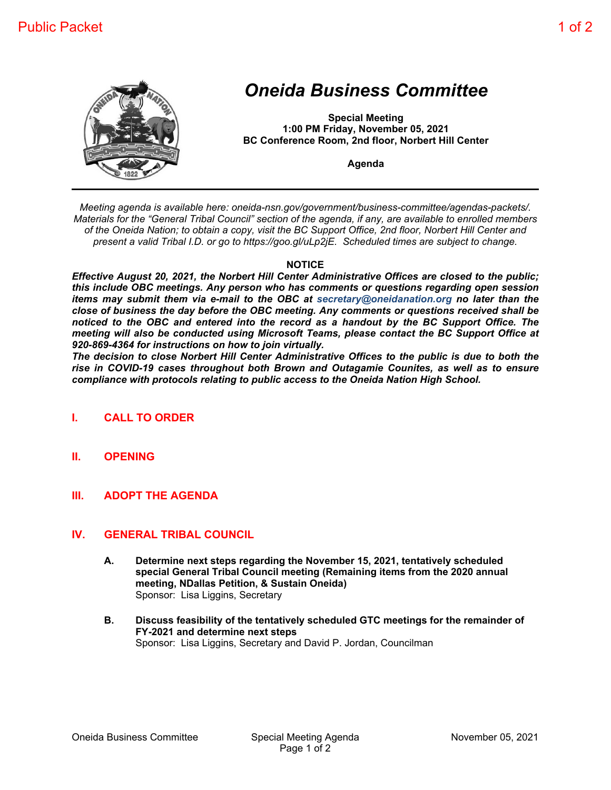

## *Oneida Business Committee*

**Special Meeting 1:00 PM Friday, November 05, 2021 BC Conference Room, 2nd floor, Norbert Hill Center**

**Agenda**

*Meeting agenda is available here: oneida-nsn.gov/government/business-committee/agendas-packets/. Materials for the "General Tribal Council" section of the agenda, if any, are available to enrolled members of the Oneida Nation; to obtain a copy, visit the BC Support Office, 2nd floor, Norbert Hill Center and present a valid Tribal I.D. or go to https://goo.gl/uLp2jE. Scheduled times are subject to change.*

## **NOTICE**

*Effective August 20, 2021, the Norbert Hill Center Administrative Offices are closed to the public; this include OBC meetings. Any person who has comments or questions regarding open session items may submit them via e-mail to the OBC at secretary@oneidanation.org no later than the close of business the day before the OBC meeting. Any comments or questions received shall be noticed to the OBC and entered into the record as a handout by the BC Support Office. The meeting will also be conducted using Microsoft Teams, please contact the BC Support Office at 920-869-4364 for instructions on how to join virtually.*

*The decision to close Norbert Hill Center Administrative Offices to the public is due to both the rise in COVID-19 cases throughout both Brown and Outagamie Counites, as well as to ensure compliance with protocols relating to public access to the Oneida Nation High School.*

- **I. CALL TO ORDER**
- **II. OPENING**
- **III. ADOPT THE AGENDA**

## **IV. GENERAL TRIBAL COUNCIL**

- **A. Determine next steps regarding the November 15, 2021, tentatively scheduled special General Tribal Council meeting (Remaining items from the 2020 annual meeting, NDallas Petition, & Sustain Oneida)** Sponsor: Lisa Liggins, Secretary
- **B. Discuss feasibility of the tentatively scheduled GTC meetings for the remainder of FY-2021 and determine next steps** Sponsor: Lisa Liggins, Secretary and David P. Jordan, Councilman